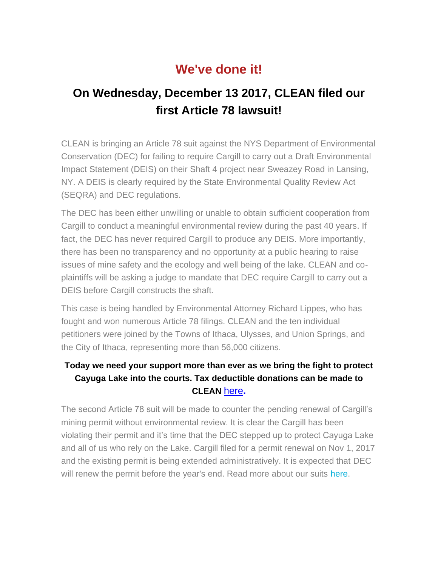## **We've done it!**

## **On Wednesday, December 13 2017, CLEAN filed our first Article 78 lawsuit!**

CLEAN is bringing an Article 78 suit against the NYS Department of Environmental Conservation (DEC) for failing to require Cargill to carry out a Draft Environmental Impact Statement (DEIS) on their Shaft 4 project near Sweazey Road in Lansing, NY. A DEIS is clearly required by the State Environmental Quality Review Act (SEQRA) and DEC regulations.

The DEC has been either unwilling or unable to obtain sufficient cooperation from Cargill to conduct a meaningful environmental review during the past 40 years. If fact, the DEC has never required Cargill to produce any DEIS. More importantly, there has been no transparency and no opportunity at a public hearing to raise issues of mine safety and the ecology and well being of the lake. CLEAN and coplaintiffs will be asking a judge to mandate that DEC require Cargill to carry out a DEIS before Cargill constructs the shaft.

This case is being handled by Environmental Attorney Richard Lippes, who has fought and won numerous Article 78 filings. CLEAN and the ten individual petitioners were joined by the Towns of Ithaca, Ulysses, and Union Springs, and the City of Ithaca, representing more than 56,000 citizens.

## **Today we need your support more than ever as we bring the fight to protect Cayuga Lake into the courts. Tax deductible donations can be made to CLEAN** [here](http://cleancayugalake.org/donations/)**.**

The second Article 78 suit will be made to counter the pending renewal of Cargill's mining permit without environmental review. It is clear the Cargill has been violating their permit and it's time that the DEC stepped up to protect Cayuga Lake and all of us who rely on the Lake. Cargill filed for a permit renewal on Nov 1, 2017 and the existing permit is being extended administratively. It is expected that DEC will renew the permit before the year's end. Read more about our suits [here.](https://waterfrontonline.blog/2017/12/08/show-time-calls-mount-for-end-to-secrecy-at-cargills-cayuga-salt-mine/)